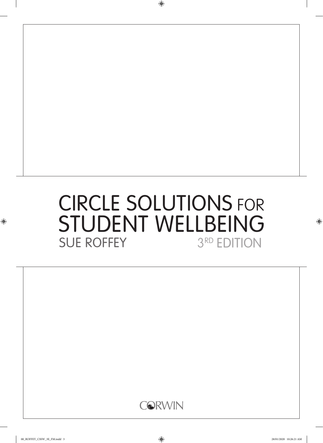# CIRCLE SOLUTIONS FOR **STUDENT WELLBEING**<br>SUE ROFFEY 3RD EDITION **SUE ROFFEY**

 $\bigoplus$ 



 $\bigoplus$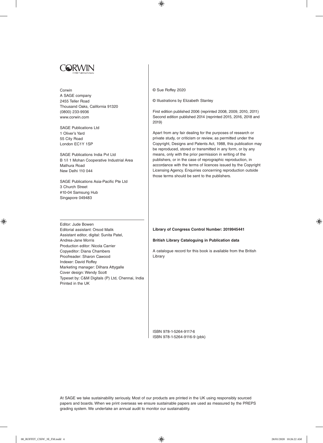

#### Corwin

A SAGE company 2455 Teller Road Thousand Oaks, California 91320 (0800) 233-9936 www.corwin.com

SAGE Publications Ltd 1 Oliver's Yard 55 City Road London EC1Y 1SP

SAGE Publications India Pvt Ltd B 1/I 1 Mohan Cooperative Industrial Area Mathura Road New Delhi 110 044

SAGE Publications Asia-Pacific Pte Ltd 3 Church Street #10-04 Samsung Hub Singapore 049483

© Sue Roffey 2020

 $\bigoplus$ 

© Illustrations by Elizabeth Stanley

First edition published 2006 (reprinted 2008, 2009, 2010, 2011) Second edition published 2014 (reprinted 2015, 2016, 2018 and 2019)

Apart from any fair dealing for the purposes of research or private study, or criticism or review, as permitted under the Copyright, Designs and Patents Act, 1988, this publication may be reproduced, stored or transmitted in any form, or by any means, only with the prior permission in writing of the publishers, or in the case of reprographic reproduction, in accordance with the terms of licences issued by the Copyright Licensing Agency. Enquiries concerning reproduction outside those terms should be sent to the publishers.

#### **Library of Congress Control Number: 2019945441**

#### **British Library Cataloguing in Publication data**

A catalogue record for this book is available from the British Library

Editor: Jude Bowen Editorial assistant: Orsod Malik Assistant editor, digital: Sunita Patel, Andrea-Jane Morris Production editor: Nicola Carrier Copyeditor: Diana Chambers Proofreader: Sharon Cawood Indexer: David Roffey Marketing manager: Dilhara Attygalle Cover design: Wendy Scott Typeset by: C&M Digitals (P) Ltd, Chennai, India Printed in the UK

> ISBN 978-1-5264-9117-6 ISBN 978-1-5264-9116-9 (pbk)

At SAGE we take sustainability seriously. Most of our products are printed in the UK using responsibly sourced papers and boards. When we print overseas we ensure sustainable papers are used as measured by the PREPS grading system. We undertake an annual audit to monitor our sustainability.

⊕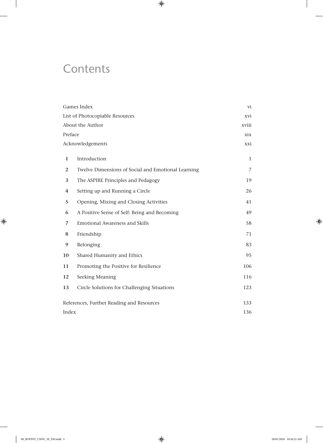# **Contents**

 $\overline{\phantom{a}}$ 

 $\bigoplus$ 

| Games Index                               |                                                    | vi             |
|-------------------------------------------|----------------------------------------------------|----------------|
| List of Photocopiable Resources           | xvi                                                |                |
| About the Author                          | xviii                                              |                |
| Preface                                   |                                                    | xix            |
|                                           | Acknowledgements                                   | xxi            |
| $\mathbf{1}$                              | Introduction                                       | $\mathbf{1}$   |
| $\overline{2}$                            | Twelve Dimensions of Social and Emotional Learning | $\overline{7}$ |
| 3                                         | The ASPIRE Principles and Pedagogy                 | 19             |
| $\overline{\mathbf{4}}$                   | Setting up and Running a Circle                    | 26             |
| 5                                         | Opening, Mixing and Closing Activities             | 41             |
| 6                                         | A Positive Sense of Self: Being and Becoming       | 49             |
| $\overline{7}$                            | <b>Emotional Awareness and Skills</b>              | 58             |
| 8                                         | Friendship                                         | 71             |
| 9                                         | Belonging                                          | 83             |
| 10                                        | Shared Humanity and Ethics                         | 95             |
| 11                                        | Promoting the Positive for Resilience              | 106            |
| 12                                        | Seeking Meaning                                    | 116            |
| 13                                        | Circle Solutions for Challenging Situations        | 123            |
| References, Further Reading and Resources | 133                                                |                |
| Index                                     |                                                    | 136            |

 $\bigoplus$ 

 $\overline{\phantom{a}}$ 

 $\bigoplus$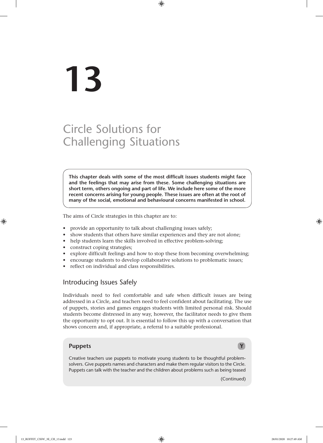# **13**

# Circle Solutions for Challenging Situations

**This chapter deals with some of the most difficult issues students might face and the feelings that may arise from these. Some challenging situations are short term, others ongoing and part of life. We include here some of the more recent concerns arising for young people. These issues are often at the root of many of the social, emotional and behavioural concerns manifested in school.**

 $\bigoplus$ 

The aims of Circle strategies in this chapter are to:

- provide an opportunity to talk about challenging issues safely;
- show students that others have similar experiences and they are not alone;
- help students learn the skills involved in effective problem-solving;
- construct coping strategies;
- explore difficult feelings and how to stop these from becoming overwhelming;
- encourage students to develop collaborative solutions to problematic issues;
- reflect on individual and class responsibilities.

#### Introducing Issues Safely

Individuals need to feel comfortable and safe when difficult issues are being addressed in a Circle, and teachers need to feel confident about facilitating. The use of puppets, stories and games engages students with limited personal risk. Should students become distressed in any way, however, the facilitator needs to give them the opportunity to opt out. It is essential to follow this up with a conversation that shows concern and, if appropriate, a referral to a suitable professional.

#### **Puppets Y**

Creative teachers use puppets to motivate young students to be thoughtful problemsolvers. Give puppets names and characters and make them regular visitors to the Circle. Puppets can talk with the teacher and the children about problems such as being teased

(Continued)

⊕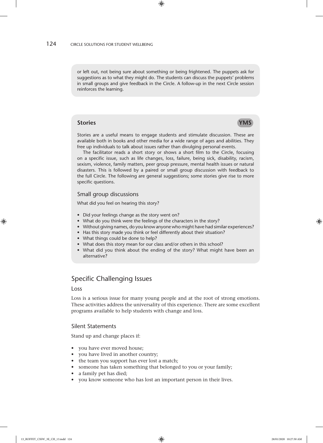or left out, not being sure about something or being frightened. The puppets ask for suggestions as to what they might do. The students can discuss the puppets' problems in small groups and give feedback in the Circle. A follow-up in the next Circle session reinforces the learning.

#### **Stories YMS**

Stories are a useful means to engage students and stimulate discussion. These are available both in books and other media for a wide range of ages and abilities. They free up individuals to talk about issues rather than divulging personal events.

The facilitator reads a short story or shows a short film to the Circle, focusing on a specific issue, such as life changes, loss, failure, being sick, disability, racism, sexism, violence, family matters, peer group pressure, mental health issues or natural disasters. This is followed by a paired or small group discussion with feedback to the full Circle. The following are general suggestions; some stories give rise to more specific questions.

#### Small group discussions

What did you feel on hearing this story?

- Did your feelings change as the story went on?
- What do you think were the feelings of the characters in the story?
- Without giving names, do you know anyone who might have had similar experiences?
- Has this story made you think or feel differently about their situation?
- What things could be done to help?
- What does this story mean for our class and/or others in this school?
- What did you think about the ending of the story? What might have been an alternative?

## Specific Challenging Issues

#### Loss

Loss is a serious issue for many young people and at the root of strong emotions. These activities address the universality of this experience. There are some excellent programs available to help students with change and loss.

#### Silent Statements

Stand up and change places if:

- you have ever moved house;
- you have lived in another country;
- the team you support has ever lost a match;
- someone has taken something that belonged to you or your family;
- a family pet has died;
- you know someone who has lost an important person in their lives.

⊕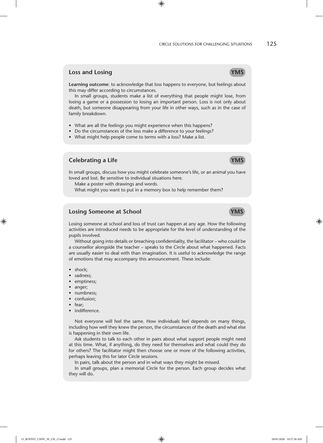⊕

#### **Loss and Losing The Contract of the Contract of the Contract of the Contract of the Contract of the Contract of the Contract of the Contract of the Contract of the Contract of the Contract of the Contract of the Contract**

**Learning outcome**: to acknowledge that loss happens to everyone, but feelings about this may differ according to circumstances.

 $\bigoplus$ 

In small groups, students make a list of everything that people might lose, from losing a game or a possession to losing an important person. Loss is not only about death, but someone disappearing from your life in other ways, such as in the case of family breakdown.

- What are all the feelings you might experience when this happens?
- Do the circumstances of the loss make a difference to your feelings?
- What might help people come to terms with a loss? Make a list.

#### **Celebrating a Life Theory of the Celebration Celebration Celebration Celebration Celebration Celebration Celebration Celebration Celebration Celebration Celebration Celebration Celebration Celebration Celebration Celebrat**

In small groups, discuss how you might celebrate someone's life, or an animal you have loved and lost. Be sensitive to individual situations here.

Make a poster with drawings and words.

What might you want to put in a memory box to help remember them?

#### **Losing Someone at School YMS**

Losing someone at school and loss of trust can happen at any age. How the following activities are introduced needs to be appropriate for the level of understanding of the pupils involved.

Without going into details or breaching confidentiality, the facilitator – who could be a counsellor alongside the teacher – speaks to the Circle about what happened. Facts are usually easier to deal with than imagination. It is useful to acknowledge the range of emotions that may accompany this announcement. These include:

- shock:
- sadness;
- emptiness;
- anger;
- numbness;
- confusion;
- fear;
- indifference.

Not everyone will feel the same. How individuals feel depends on many things, including how well they knew the person, the circumstances of the death and what else is happening in their own life.

Ask students to talk to each other in pairs about what support people might need at this time. What, if anything, do they need for themselves and what could they do for others? The facilitator might then choose one or more of the following activities, perhaps leaving this for later Circle sessions.

In pairs, talk about the person and in what ways they might be missed.

In small groups, plan a memorial Circle for the person. Each group decides what they will do.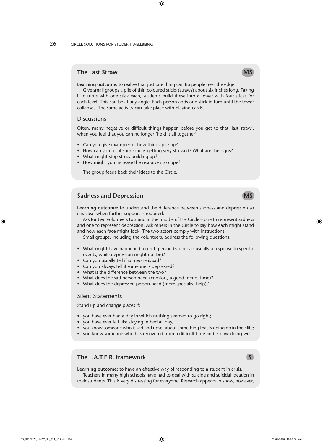#### **The Last Straw MS**  $\sim$  MS

**Learning outcome**: to realize that just one thing can tip people over the edge.

 $\bigoplus$ 

Give small groups a pile of thin coloured sticks (straws) about six inches long. Taking it in turns with one stick each, students build these into a tower with four sticks for each level. This can be at any angle. Each person adds one stick in turn until the tower collapses. The same activity can take place with playing cards.

#### **Discussions**

Often, many negative or difficult things happen before you get to that 'last straw', when you feel that you can no longer 'hold it all together':

- Can you give examples of how things pile up?
- How can you tell if someone is getting very stressed? What are the signs?
- What might stop stress building up?
- How might you increase the resources to cope?

The group feeds back their ideas to the Circle.

#### **Sadness and Depression MS MS**

**Learning outcome**: to understand the difference between sadness and depression so it is clear when further support is required.

Ask for two volunteers to stand in the middle of the Circle – one to represent sadness and one to represent depression. Ask others in the Circle to say how each might stand and how each face might look. The two actors comply with instructions.

Small groups, including the volunteers, address the following questions:

- What might have happened to each person (sadness is usually a response to specific events, while depression might not be)?
- Can you usually tell if someone is sad?
- Can you always tell if someone is depressed?
- What is the difference between the two?
- What does the sad person need (comfort, a good friend, time)?
- What does the depressed person need (more specialist help)?

#### Silent Statements

Stand up and change places if:

- you have ever had a day in which nothing seemed to go right;
- you have ever felt like staying in bed all day;
- you know someone who is sad and upset about something that is going on in their life;
- you know someone who has recovered from a difficult time and is now doing well.

### **The L.A.T.E.R. framework** S **S**

**Learning outcome:** to have an effective way of responding to a student in crisis. Teachers in many high schools have had to deal with suicide and suicidal ideation in their students. This is very distressing for everyone. Research appears to show, however,

13\_ROFFEY\_CSSW\_3E\_CH\_13.indd 126 28/01/2020 10:27:50 AM

⊕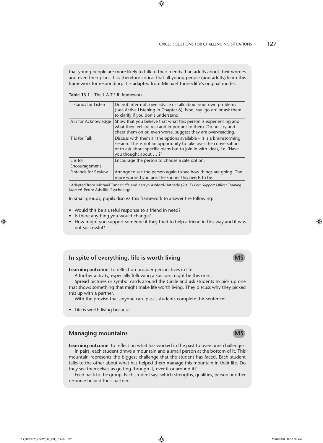that young people are more likely to talk to their friends than adults about their worries and even their plans. It is therefore critical that all young people (and adults) learn this framework for responding. It is adapted from Michael Tunnecliffe's original model.

 $\bigoplus$ 

**Table 13.1** The L.A.T.E.R. framework

| L stands for Listen        | Do not interrupt, give advice or talk about your own problems<br>('see Active Listening in Chapter 8). Nod, say 'go on' or ask them<br>to clarify if you don't understand.                                                                 |
|----------------------------|--------------------------------------------------------------------------------------------------------------------------------------------------------------------------------------------------------------------------------------------|
| A is for Acknowledge       | Show that you believe that what this person is experiencing and<br>what they feel are real and important to them. Do not try and<br>cheer them on or, even worse, suggest they are over-reacting.                                          |
| T is for Talk              | Discuss with them all the options available $-$ it is a brainstorming<br>session. This is not an opportunity to take over the conversation<br>or to ask about specific plans but to join in with ideas, i.e. 'Have<br>you thought about ?' |
| E is for<br>Encouragement  | Encourage the person to choose a safe option.                                                                                                                                                                                              |
| <b>R</b> stands for Review | Arrange to see the person again to see how things are going. The<br>more worried you are, the sooner this needs to be.                                                                                                                     |

∗ Adapted from Michael Tunnecliffe and Kerryn Ashford-Hatherly (2017) *Peer Support Officer Training Manual*. Perth: Ashcliffe Psychology.

In small groups, pupils discuss this framework to answer the following:

- Would this be a useful response to a friend in need?
- Is there anything you would change?
- How might you support someone if they tried to help a friend in this way and it was not successful?

#### **In spite of everything, life is worth living MS**

**Learning outcome:** to reflect on broader perspectives in life.

A further activity, especially following a suicide, might be this one.

Spread pictures or symbol cards around the Circle and ask students to pick up one that shows something that might make life worth living. They discuss why they picked this up with a partner.

With the proviso that anyone can 'pass', students complete this sentence:

• Life is worth living because …

#### **Managing mountains Managing MS**

**Learning outcome**: to reflect on what has worked in the past to overcome challenges. In pairs, each student draws a mountain and a small person at the bottom of it. This mountain represents the biggest challenge that the student has faced. Each student talks to the other about what has helped them manage this mountain in their life. Do they see themselves as getting through it, over it or around it?

Feed back to the group. Each student says which strengths, qualities, person or other resource helped their partner.

⊕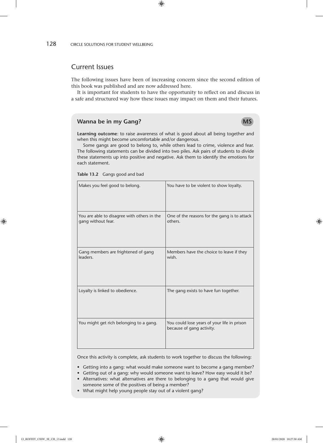128 CIRCLE SOLUTIONS FOR STUDENT WELLBEING

#### Current Issues

The following issues have been of increasing concern since the second edition of this book was published and are now addressed here.

 $\bigoplus$ 

It is important for students to have the opportunity to reflect on and discuss in a safe and structured way how these issues may impact on them and their futures.

#### **Wanna be in my Gang?** MS

**Learning outcome**: to raise awareness of what is good about all being together and when this might become uncomfortable and/or dangerous.

Some gangs are good to belong to, while others lead to crime, violence and fear. The following statements can be divided into two piles. Ask pairs of students to divide these statements up into positive and negative. Ask them to identify the emotions for each statement.

**Table 13.2** Gangs good and bad

| Makes you feel good to belong.                                    | You have to be violent to show loyalty.                                  |
|-------------------------------------------------------------------|--------------------------------------------------------------------------|
| You are able to disagree with others in the<br>gang without fear. | One of the reasons for the gang is to attack<br>others.                  |
| Gang members are frightened of gang<br>leaders.                   | Members have the choice to leave if they<br>wish.                        |
| Loyalty is linked to obedience.                                   | The gang exists to have fun together.                                    |
| You might get rich belonging to a gang.                           | You could lose years of your life in prison<br>because of gang activity. |

Once this activity is complete, ask students to work together to discuss the following:

- Getting into a gang: what would make someone want to become a gang member?
- Getting out of a gang: why would someone want to leave? How easy would it be?
- Alternatives: what alternatives are there to belonging to a gang that would give someone some of the positives of being a member?
- What might help young people stay out of a violent gang?

13\_ROFFEY\_CSSW\_3E\_CH\_13.indd 128 28/01/2020 10:27:50 AM

 $\bigoplus$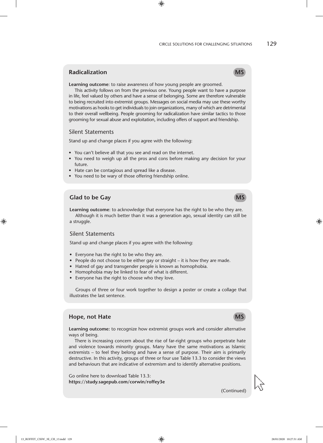#### CIRCLE SOLUTIONS FOR CHALLENGING SITUATIONS 129

⊕

## **Radicalization** MS

**Learning outcome**: to raise awareness of how young people are groomed.

This activity follows on from the previous one. Young people want to have a purpose in life, feel valued by others and have a sense of belonging. Some are therefore vulnerable to being recruited into extremist groups. Messages on social media may use these worthy motivations as hooks to get individuals to join organizations, many of which are detrimental to their overall wellbeing. People grooming for radicalization have similar tactics to those grooming for sexual abuse and exploitation, including offers of support and friendship.

 $\bigoplus$ 

#### Silent Statements

Stand up and change places if you agree with the following:

- You can't believe all that you see and read on the internet.
- You need to weigh up all the pros and cons before making any decision for your future.
- Hate can be contagious and spread like a disease.
- You need to be wary of those offering friendship online.

## **Glad to be Gay MS**

**Learning outcome**: to acknowledge that everyone has the right to be who they are. Although it is much better than it was a generation ago, sexual identity can still be a struggle.

#### Silent Statements

Stand up and change places if you agree with the following:

- Everyone has the right to be who they are.
- People do not choose to be either gay or straight it is how they are made.
- Hatred of gay and transgender people is known as homophobia.
- Homophobia may be linked to fear of what is different.
- Everyone has the right to choose who they love.

Groups of three or four work together to design a poster or create a collage that illustrates the last sentence.

#### **Hope, not Hate MS MS**

**Learning outcome:** to recognize how extremist groups work and consider alternative ways of being.

There is increasing concern about the rise of far-right groups who perpetrate hate and violence towards minority groups. Many have the same motivations as Islamic extremists – to feel they belong and have a sense of purpose. Their aim is primarily destructive. In this activity, groups of three or four use Table 13.3 to consider the views and behaviours that are indicative of extremism and to identify alternative positions.

Go online here to download Table 13.3: **https://study.sagepub.com/corwin/roffey3e**

(Continued)



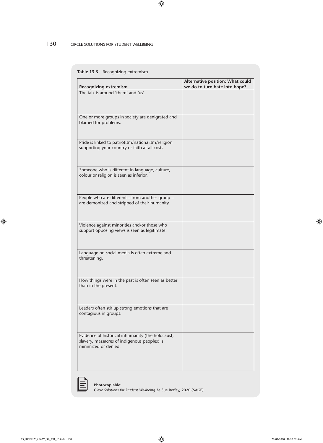#### 130 CIRCLE SOLUTIONS FOR STUDENT WELLBEING

#### **Table 13.3** Recognizing extremism

| <b>Recognizing extremism</b>                                                                                              | Alternative position: What could<br>we do to turn hate into hope? |
|---------------------------------------------------------------------------------------------------------------------------|-------------------------------------------------------------------|
| The talk is around 'them' and 'us'.                                                                                       |                                                                   |
| One or more groups in society are denigrated and<br>blamed for problems.                                                  |                                                                   |
| Pride is linked to patriotism/nationalism/religion -<br>supporting your country or faith at all costs.                    |                                                                   |
| Someone who is different in language, culture,<br>colour or religion is seen as inferior.                                 |                                                                   |
| People who are different - from another group -<br>are demonized and stripped of their humanity.                          |                                                                   |
| Violence against minorities and/or those who<br>support opposing views is seen as legitimate.                             |                                                                   |
| Language on social media is often extreme and<br>threatening.                                                             |                                                                   |
| How things were in the past is often seen as better<br>than in the present.                                               |                                                                   |
| Leaders often stir up strong emotions that are<br>contagious in groups.                                                   |                                                                   |
| Evidence of historical inhumanity (the holocaust,<br>slavery, massacres of indigenous peoples) is<br>minimized or denied. |                                                                   |

 $\bigoplus$ 

 $\overline{\phantom{a}}$ 

 $\bigoplus$ 

 $\overline{\phantom{a}}$ 

 $\bigoplus$ 

*Circle Solutions for Student Wellbeing* 3e Sue Roffey, 2020 (SAGE)

**Photocopiable:** 

⊪≡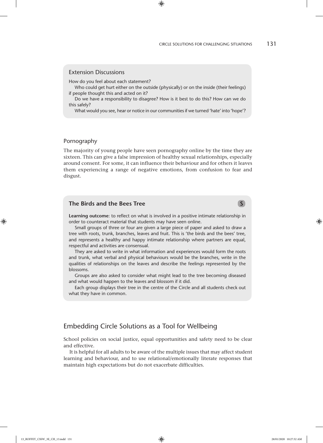#### Extension Discussions

How do you feel about each statement?

Who could get hurt either on the outside (physically) or on the inside (their feelings) if people thought this and acted on it?

 $\bigoplus$ 

Do we have a responsibility to disagree? How is it best to do this? How can we do this safely?

What would you see, hear or notice in our communities if we turned 'hate' into 'hope'?

#### Pornography

The majority of young people have seen pornography online by the time they are sixteen. This can give a false impression of healthy sexual relationships, especially around consent. For some, it can influence their behaviour and for others it leaves them experiencing a range of negative emotions, from confusion to fear and disgust.

#### **The Birds and the Bees Tree** S **S S S S S**

**Learning outcome**: to reflect on what is involved in a positive intimate relationship in order to counteract material that students may have seen online.

Small groups of three or four are given a large piece of paper and asked to draw a tree with roots, trunk, branches, leaves and fruit. This is 'the birds and the bees' tree, and represents a healthy and happy intimate relationship where partners are equal, respectful and activities are consensual.

They are asked to write in what information and experiences would form the roots and trunk, what verbal and physical behaviours would be the branches, write in the qualities of relationships on the leaves and describe the feelings represented by the blossoms.

Groups are also asked to consider what might lead to the tree becoming diseased and what would happen to the leaves and blossom if it did.

Each group displays their tree in the centre of the Circle and all students check out what they have in common.

#### Embedding Circle Solutions as a Tool for Wellbeing

School policies on social justice, equal opportunities and safety need to be clear and effective.

It is helpful for all adults to be aware of the multiple issues that may affect student learning and behaviour, and to use relational/emotionally literate responses that maintain high expectations but do not exacerbate difficulties.

⊕